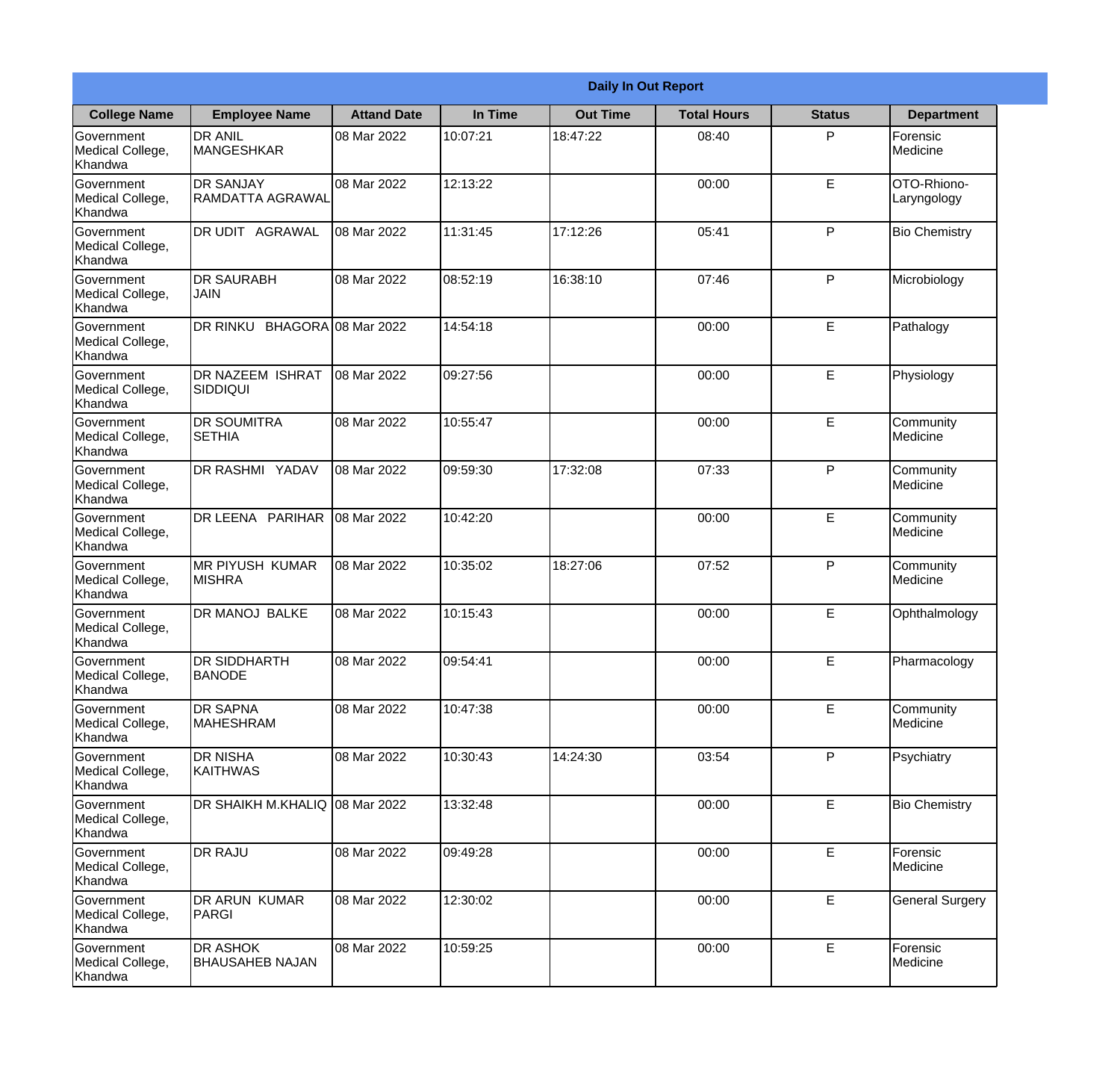|                                           | <b>Daily In Out Report</b>                  |                     |          |                 |                    |               |                            |  |  |
|-------------------------------------------|---------------------------------------------|---------------------|----------|-----------------|--------------------|---------------|----------------------------|--|--|
| <b>College Name</b>                       | <b>Employee Name</b>                        | <b>Attand Date</b>  | In Time  | <b>Out Time</b> | <b>Total Hours</b> | <b>Status</b> | <b>Department</b>          |  |  |
| Government<br>Medical College,<br>Khandwa | <b>DR ANIL</b><br><b>MANGESHKAR</b>         | 08 Mar 2022         | 10:07:21 | 18:47:22        | 08:40              | P             | Forensic<br>Medicine       |  |  |
| Government<br>Medical College,<br>Khandwa | <b>DR SANJAY</b><br><b>RAMDATTA AGRAWAL</b> | 08 Mar 2022         | 12:13:22 |                 | 00:00              | E             | OTO-Rhiono-<br>Laryngology |  |  |
| Government<br>Medical College,<br>Khandwa | DR UDIT AGRAWAL                             | 08 Mar 2022         | 11:31:45 | 17:12:26        | 05:41              | P             | <b>Bio Chemistry</b>       |  |  |
| Government<br>Medical College,<br>Khandwa | <b>DR SAURABH</b><br>JAIN                   | 08 Mar 2022         | 08:52:19 | 16:38:10        | 07:46              | P             | Microbiology               |  |  |
| Government<br>Medical College,<br>Khandwa | DR RINKU                                    | BHAGORA 08 Mar 2022 | 14:54:18 |                 | 00:00              | E             | Pathalogy                  |  |  |
| Government<br>Medical College,<br>Khandwa | DR NAZEEM ISHRAT<br><b>SIDDIQUI</b>         | 08 Mar 2022         | 09:27:56 |                 | 00:00              | E             | Physiology                 |  |  |
| Government<br>Medical College,<br>Khandwa | <b>DR SOUMITRA</b><br><b>SETHIA</b>         | 08 Mar 2022         | 10:55:47 |                 | 00:00              | E             | Community<br>Medicine      |  |  |
| Government<br>Medical College,<br>Khandwa | <b>DR RASHMI YADAV</b>                      | 08 Mar 2022         | 09:59:30 | 17:32:08        | 07:33              | P             | Community<br>Medicine      |  |  |
| Government<br>Medical College,<br>Khandwa | DR LEENA PARIHAR                            | 08 Mar 2022         | 10:42:20 |                 | 00:00              | E             | Community<br>Medicine      |  |  |
| Government<br>Medical College,<br>Khandwa | <b>MR PIYUSH KUMAR</b><br><b>MISHRA</b>     | 08 Mar 2022         | 10:35:02 | 18:27:06        | 07:52              | P             | Community<br>Medicine      |  |  |
| Government<br>Medical College,<br>Khandwa | DR MANOJ BALKE                              | 08 Mar 2022         | 10:15:43 |                 | 00:00              | E             | Ophthalmology              |  |  |
| Government<br>Medical College,<br>Khandwa | <b>DR SIDDHARTH</b><br><b>BANODE</b>        | 08 Mar 2022         | 09:54:41 |                 | 00:00              | E             | Pharmacology               |  |  |
| Government<br>Medical College,<br>Khandwa | <b>DR SAPNA</b><br><b>MAHESHRAM</b>         | 08 Mar 2022         | 10:47:38 |                 | 00:00              | E             | Community<br>Medicine      |  |  |
| Government<br>Medical College,<br>Khandwa | DR NISHA<br><b>KAITHWAS</b>                 | 08 Mar 2022         | 10:30:43 | 14:24:30        | 03:54              | P             | Psychiatry                 |  |  |
| Government<br>Medical College,<br>Khandwa | <b>DR SHAIKH M.KHALIQ</b>                   | 08 Mar 2022         | 13:32:48 |                 | 00:00              | E             | <b>Bio Chemistry</b>       |  |  |
| Government<br>Medical College,<br>Khandwa | <b>DR RAJU</b>                              | 08 Mar 2022         | 09:49:28 |                 | 00:00              | E             | Forensic<br>Medicine       |  |  |
| Government<br>Medical College,<br>Khandwa | DR ARUN KUMAR<br><b>PARGI</b>               | 08 Mar 2022         | 12:30:02 |                 | 00:00              | E             | <b>General Surgery</b>     |  |  |
| Government<br>Medical College,<br>Khandwa | DR ASHOK<br><b>BHAUSAHEB NAJAN</b>          | 08 Mar 2022         | 10:59:25 |                 | 00:00              | E             | Forensic<br>Medicine       |  |  |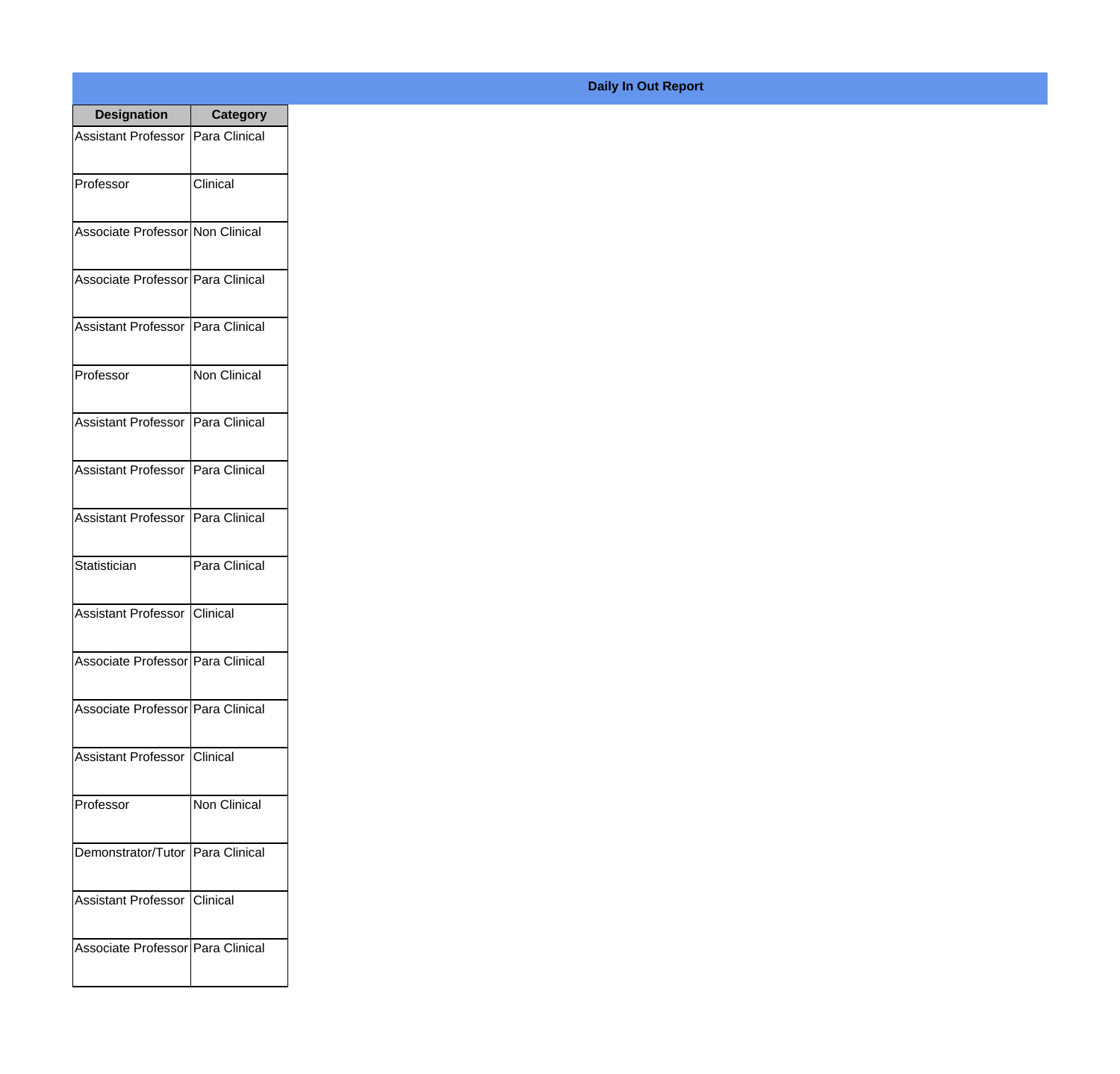| <b>Designation</b>                  | <b>Category</b> |
|-------------------------------------|-----------------|
| Assistant Professor   Para Clinical |                 |
| Professor                           | Clinical        |
| Associate Professor Non Clinical    |                 |
| Associate Professor Para Clinical   |                 |
| <b>Assistant Professor</b>          | Para Clinical   |
| Professor                           | Non Clinical    |
| Assistant Professor   Para Clinical |                 |
| Assistant Professor   Para Clinical |                 |
| Assistant Professor   Para Clinical |                 |
| Statistician                        | Para Clinical   |
| <b>Assistant Professor</b>          | Clinical        |
| Associate Professor   Para Clinical |                 |
| Associate Professor   Para Clinical |                 |
| Assistant Professor   Clinical      |                 |
| Professor                           | Non Clinical    |
| Demonstrator/Tutor   Para Clinical  |                 |
| <b>Assistant Professor</b>          | Clinical        |
| Associate Professor   Para Clinical |                 |

## **Daily In Out Report**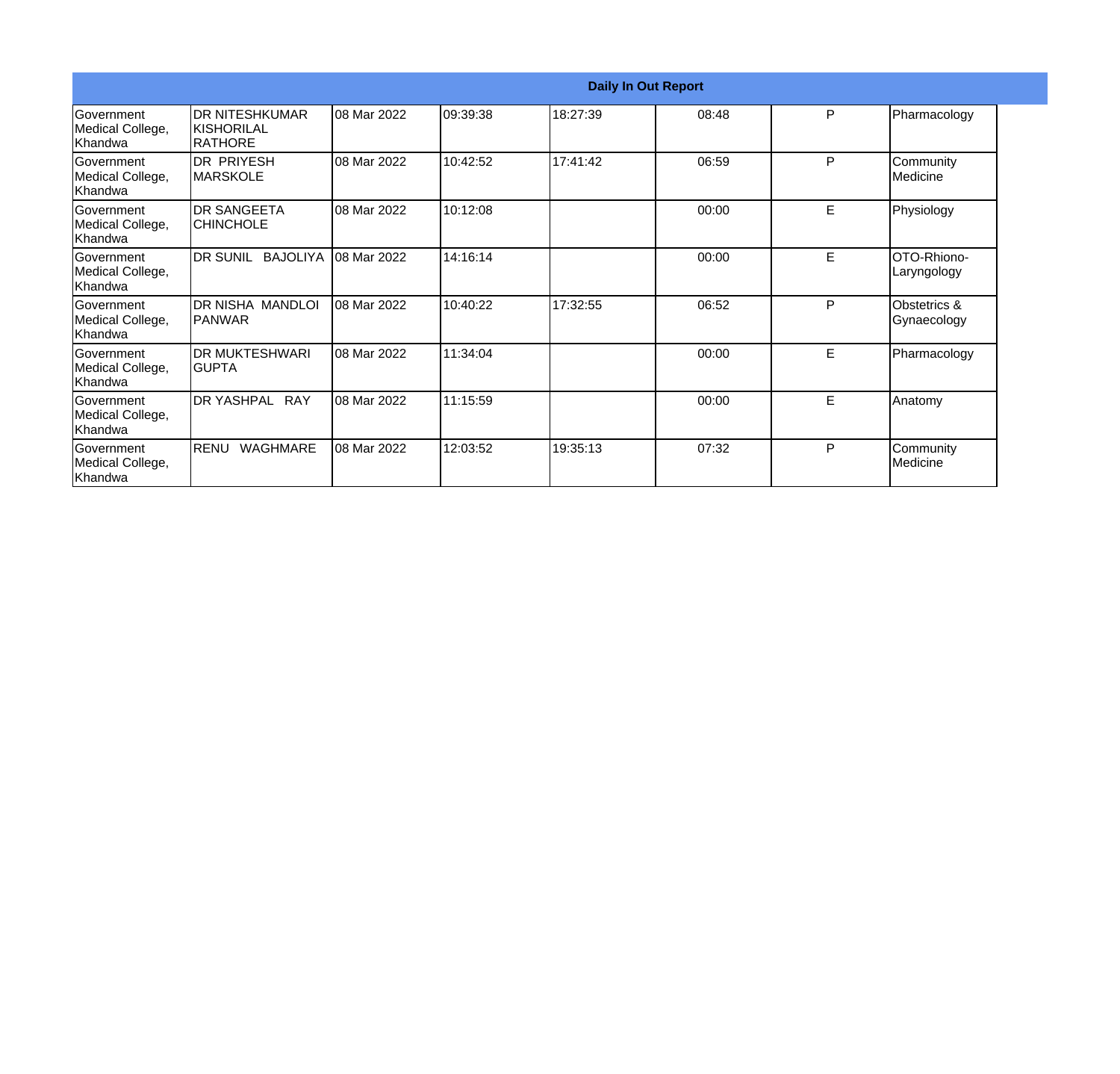|                                                   |                                                        |             | <b>Daily In Out Report</b> |          |       |   |                             |  |
|---------------------------------------------------|--------------------------------------------------------|-------------|----------------------------|----------|-------|---|-----------------------------|--|
| <b>Government</b><br>Medical College,<br>lKhandwa | <b>DR NITESHKUMAR</b><br>IKISHORILAL<br><b>RATHORE</b> | 08 Mar 2022 | 09:39:38                   | 18:27:39 | 08:48 | P | Pharmacology                |  |
| <b>Government</b><br>Medical College,<br>Khandwa  | <b>DR PRIYESH</b><br>IMARSKOLE                         | 08 Mar 2022 | 10:42:52                   | 17:41:42 | 06:59 | P | Community<br>Medicine       |  |
| Government<br>Medical College,<br>Khandwa         | <b>DR SANGEETA</b><br><b>CHINCHOLE</b>                 | 08 Mar 2022 | 10:12:08                   |          | 00:00 | E | Physiology                  |  |
| <b>Government</b><br>Medical College,<br>Khandwa  | DR SUNIL BAJOLIYA                                      | 08 Mar 2022 | 14:16:14                   |          | 00:00 | E | OTO-Rhiono-<br>Laryngology  |  |
| Government<br>Medical College,<br>Khandwa         | DR NISHA MANDLOI<br><b>PANWAR</b>                      | 08 Mar 2022 | 10:40:22                   | 17:32:55 | 06:52 | P | Obstetrics &<br>Gynaecology |  |
| Government<br>Medical College,<br>Khandwa         | <b>DR MUKTESHWARI</b><br>IGUPTA                        | 08 Mar 2022 | 11:34:04                   |          | 00:00 | E | Pharmacology                |  |
| Government<br>Medical College,<br><b>Khandwa</b>  | DR YASHPAL RAY                                         | 08 Mar 2022 | 11:15:59                   |          | 00:00 | E | Anatomy                     |  |
| Government<br>Medical College,<br>Khandwa         | RENU<br><b>WAGHMARE</b>                                | 08 Mar 2022 | 12:03:52                   | 19:35:13 | 07:32 | P | Community<br>Medicine       |  |